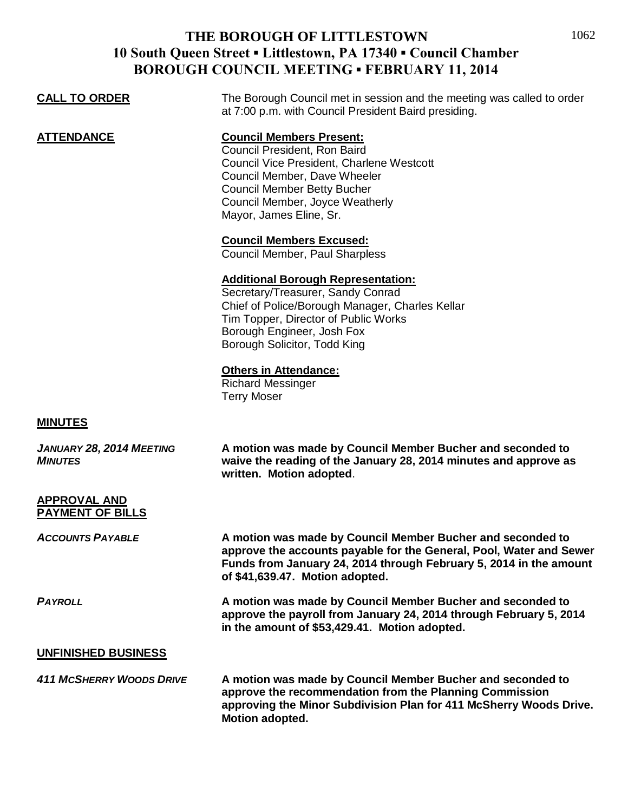## **THE BOROUGH OF LITTLESTOWN 10 South Queen Street ▪ Littlestown, PA 17340 ▪ Council Chamber BOROUGH COUNCIL MEETING . FEBRUARY 11, 2014**

| DUNUUUII CUUNCIL MEETING " FEDNUANT TI, 2014   |                                                                                                                                                                                                                                                  |
|------------------------------------------------|--------------------------------------------------------------------------------------------------------------------------------------------------------------------------------------------------------------------------------------------------|
| <b>CALL TO ORDER</b>                           | The Borough Council met in session and the meeting was called to order<br>at 7:00 p.m. with Council President Baird presiding.                                                                                                                   |
| <b>ATTENDANCE</b>                              | <b>Council Members Present:</b><br>Council President, Ron Baird<br>Council Vice President, Charlene Westcott<br>Council Member, Dave Wheeler<br><b>Council Member Betty Bucher</b><br>Council Member, Joyce Weatherly<br>Mayor, James Eline, Sr. |
|                                                | <b>Council Members Excused:</b><br>Council Member, Paul Sharpless                                                                                                                                                                                |
|                                                | <b>Additional Borough Representation:</b><br>Secretary/Treasurer, Sandy Conrad<br>Chief of Police/Borough Manager, Charles Kellar<br>Tim Topper, Director of Public Works<br>Borough Engineer, Josh Fox<br>Borough Solicitor, Todd King          |
|                                                | <b>Others in Attendance:</b><br><b>Richard Messinger</b><br><b>Terry Moser</b>                                                                                                                                                                   |
| <b>MINUTES</b>                                 |                                                                                                                                                                                                                                                  |
| JANUARY 28, 2014 MEETING<br><b>MINUTES</b>     | A motion was made by Council Member Bucher and seconded to<br>waive the reading of the January 28, 2014 minutes and approve as<br>written. Motion adopted.                                                                                       |
| <b>APPROVAL AND</b><br><b>PAYMENT OF BILLS</b> |                                                                                                                                                                                                                                                  |
| <b>ACCOUNTS PAYABLE</b>                        | A motion was made by Council Member Bucher and seconded to<br>approve the accounts payable for the General, Pool, Water and Sewer<br>Funds from January 24, 2014 through February 5, 2014 in the amount<br>of \$41,639.47. Motion adopted.       |
| <b>PAYROLL</b>                                 | A motion was made by Council Member Bucher and seconded to<br>approve the payroll from January 24, 2014 through February 5, 2014<br>in the amount of \$53,429.41. Motion adopted.                                                                |
| <b>UNFINISHED BUSINESS</b>                     |                                                                                                                                                                                                                                                  |
| <b>411 MCSHERRY WOODS DRIVE</b>                | A motion was made by Council Member Bucher and seconded to                                                                                                                                                                                       |

**approve the recommendation from the Planning Commission approving the Minor Subdivision Plan for 411 McSherry Woods Drive. Motion adopted.**